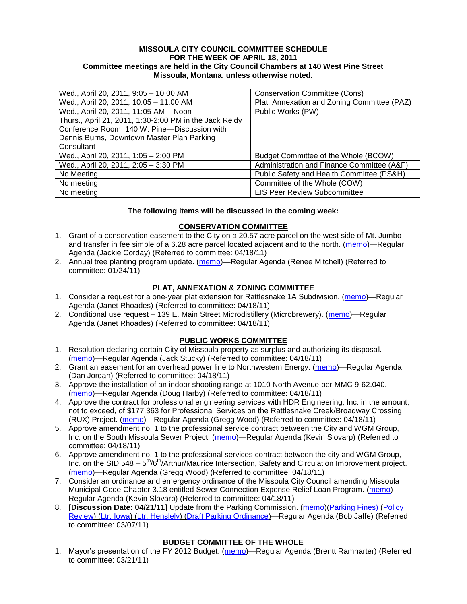### **MISSOULA CITY COUNCIL COMMITTEE SCHEDULE FOR THE WEEK OF APRIL 18, 2011 Committee meetings are held in the City Council Chambers at 140 West Pine Street Missoula, Montana, unless otherwise noted.**

| Wed., April 20, 2011, 9:05 - 10:00 AM                  | <b>Conservation Committee (Cons)</b>        |
|--------------------------------------------------------|---------------------------------------------|
| Wed., April 20, 2011, 10:05 - 11:00 AM                 | Plat, Annexation and Zoning Committee (PAZ) |
| Wed., April 20, 2011, 11:05 AM - Noon                  | Public Works (PW)                           |
| Thurs., April 21, 2011, 1:30-2:00 PM in the Jack Reidy |                                             |
| Conference Room, 140 W. Pine-Discussion with           |                                             |
| Dennis Burns, Downtown Master Plan Parking             |                                             |
| Consultant                                             |                                             |
| Wed., April 20, 2011, 1:05 - 2:00 PM                   | Budget Committee of the Whole (BCOW)        |
| Wed., April 20, 2011, 2:05 - 3:30 PM                   | Administration and Finance Committee (A&F)  |
| No Meeting                                             | Public Safety and Health Committee (PS&H)   |
| No meeting                                             | Committee of the Whole (COW)                |
| No meeting                                             | <b>EIS Peer Review Subcommittee</b>         |

### **The following items will be discussed in the coming week:**

## **CONSERVATION COMMITTEE**

- 1. Grant of a conservation easement to the City on a 20.57 acre parcel on the west side of Mt. Jumbo and transfer in fee simple of a 6.28 acre parcel located adjacent and to the north. [\(memo\)](http://www.ci.missoula.mt.us/DocumentView.aspx?DID=6170)-Regular Agenda (Jackie Corday) (Referred to committee: 04/18/11)
- 2. Annual tree planting program update. [\(memo\)](http://www.ci.missoula.mt.us/DocumentView.aspx?DID=5425)—Regular Agenda (Renee Mitchell) (Referred to committee: 01/24/11)

## **PLAT, ANNEXATION & ZONING COMMITTEE**

- 1. Consider a request for a one-year plat extension for Rattlesnake 1A Subdivision. [\(memo\)](http://www.ci.missoula.mt.us/DocumentView.aspx?DID=6166)—Regular Agenda (Janet Rhoades) (Referred to committee: 04/18/11)
- 2. Conditional use request 139 E. Main Street Microdistillery (Microbrewery). [\(memo\)](http://www.ci.missoula.mt.us/DocumentView.aspx?DID=6160)-Regular Agenda (Janet Rhoades) (Referred to committee: 04/18/11)

#### **PUBLIC WORKS COMMITTEE**

- 1. Resolution declaring certain City of Missoula property as surplus and authorizing its disposal. [\(memo\)](http://www.ci.missoula.mt.us/DocumentView.aspx?DID=6168)—Regular Agenda (Jack Stucky) (Referred to committee: 04/18/11)
- 2. Grant an easement for an overhead power line to Northwestern Energy. [\(memo\)](http://www.ci.missoula.mt.us/DocumentView.aspx?DID=6165)—Regular Agenda (Dan Jordan) (Referred to committee: 04/18/11)
- 3. Approve the installation of an indoor shooting range at 1010 North Avenue per MMC 9-62.040. [\(memo\)](http://www.ci.missoula.mt.us/DocumentView.aspx?DID=6173)—Regular Agenda (Doug Harby) (Referred to committee: 04/18/11)
- 4. Approve the contract for professional engineering services with HDR Engineering, Inc. in the amount, not to exceed, of \$177,363 for Professional Services on the Rattlesnake Creek/Broadway Crossing (RUX) Project. [\(memo\)](http://www.ci.missoula.mt.us/DocumentView.aspx?DID=6169)—Regular Agenda (Gregg Wood) (Referred to committee: 04/18/11)
- 5. Approve amendment no. 1 to the professional service contract between the City and WGM Group, Inc. on the South Missoula Sewer Project. [\(memo\)](http://www.ci.missoula.mt.us/DocumentView.aspx?DID=6172)—Regular Agenda (Kevin Slovarp) (Referred to committee: 04/18/11)
- 6. Approve amendment no. 1 to the professional services contract between the city and WGM Group, Inc. on the SID 548 - 5<sup>th</sup>/6<sup>th</sup>/Arthur/Maurice Intersection, Safety and Circulation Improvement project. [\(memo\)](http://www.ci.missoula.mt.us/DocumentView.aspx?DID=6171)—Regular Agenda (Gregg Wood) (Referred to committee: 04/18/11)
- 7. Consider an ordinance and emergency ordinance of the Missoula City Council amending Missoula Municipal Code Chapter 3.18 entitled Sewer Connection Expense Relief Loan Program. [\(memo\)](http://www.ci.missoula.mt.us/DocumentView.aspx?DID=6161)-Regular Agenda (Kevin Slovarp) (Referred to committee: 04/18/11)
- 8. **[Discussion Date: 04/21/11]** Update from the Parking Commission. [\(memo\)](http://www.ci.missoula.mt.us/DocumentView.aspx?DID=5666)[\(Parking Fines\)](http://www.ci.missoula.mt.us/DocumentView.aspx?DID=5802) [\(Policy](http://www.ci.missoula.mt.us/DocumentView.aspx?DID=5799)  [Review\)](http://www.ci.missoula.mt.us/DocumentView.aspx?DID=5799) [\(Ltr: Iowa\)](http://www.ci.missoula.mt.us/DocumentView.aspx?DID=5803) [\(Ltr: Henslely\)](http://www.ci.missoula.mt.us/DocumentView.aspx?DID=5804) [\(Draft Parking Ordinance\)](http://www.ci.missoula.mt.us/DocumentView.aspx?DID=6057)—Regular Agenda (Bob Jaffe) (Referred to committee: 03/07/11)

# **BUDGET COMMITTEE OF THE WHOLE**

1. Mayor's presentation of the FY 2012 Budget. [\(memo\)](http://www.ci.missoula.mt.us/DocumentView.aspx?DID=5788)—Regular Agenda (Brentt Ramharter) (Referred to committee: 03/21/11)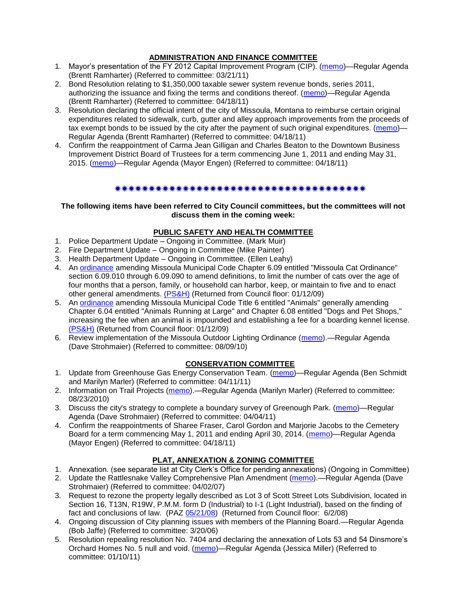# **ADMINISTRATION AND FINANCE COMMITTEE**

- 1. Mayor's presentation of the FY 2012 Capital Improvement Program (CIP). [\(memo\)](http://www.ci.missoula.mt.us/DocumentView.aspx?DID=5789)—Regular Agenda (Brentt Ramharter) (Referred to committee: 03/21/11)
- 2. Bond Resolution relating to \$1,350,000 taxable sewer system revenue bonds, series 2011, authorizing the issuance and fixing the terms and conditions thereof. [\(memo\)](http://www.ci.missoula.mt.us/DocumentView.aspx?DID=6164)—Regular Agenda (Brentt Ramharter) (Referred to committee: 04/18/11)
- 3. Resolution declaring the official intent of the city of Missoula, Montana to reimburse certain original expenditures related to sidewalk, curb, gutter and alley approach improvements from the proceeds of tax exempt bonds to be issued by the city after the payment of such original expenditures. [\(memo\)](http://www.ci.missoula.mt.us/DocumentView.aspx?DID=6167)— Regular Agenda (Brentt Ramharter) (Referred to committee: 04/18/11)
- 4. Confirm the reappointment of Carma Jean Gilligan and Charles Beaton to the Downtown Business Improvement District Board of Trustees for a term commencing June 1, 2011 and ending May 31, 2015. [\(memo\)](http://www.ci.missoula.mt.us/DocumentView.aspx?DID=6163)—Regular Agenda (Mayor Engen) (Referred to committee: 04/18/11)

### 

### **The following items have been referred to City Council committees, but the committees will not discuss them in the coming week:**

## **PUBLIC SAFETY AND HEALTH COMMITTEE**

- 1. Police Department Update Ongoing in Committee. (Mark Muir)
- 2. Fire Department Update Ongoing in Committee (Mike Painter)
- 3. Health Department Update Ongoing in Committee. (Ellen Leahy)
- 4. An [ordinance](ftp://ftp.ci.missoula.mt.us/Packets/Council/2008/2008-12-15/2008CatOrdinanceAmendment%5B1%5D.pdf) amending Missoula Municipal Code Chapter 6.09 entitled "Missoula Cat Ordinance" section 6.09.010 through 6.09.090 to amend definitions, to limit the number of cats over the age of four months that a person, family, or household can harbor, keep, or maintain to five and to enact other general amendments. [\(PS&H\)](ftp://ftp.ci.missoula.mt.us/Packets/Council/2008/2008-12-15/081210psh.pdf) (Returned from Council floor: 01/12/09)
- 5. An [ordinance](ftp://ftp.ci.missoula.mt.us/Packets/Council/2008/2008-12-15/DogOrdinance--PSHrevisions.pdf) amending Missoula Municipal Code Title 6 entitled "Animals" generally amending Chapter 6.04 entitled "Animals Running at Large" and Chapter 6.08 entitled "Dogs and Pet Shops," increasing the fee when an animal is impounded and establishing a fee for a boarding kennel license. [\(PS&H\)](ftp://ftp.ci.missoula.mt.us/Packets/Council/2008/2008-12-15/081210psh.pdf) (Returned from Council floor: 01/12/09)
- 6. Review implementation of the Missoula Outdoor Lighting Ordinance [\(memo\)](http://www.ci.missoula.mt.us/DocumentView.aspx?DID=4420).—Regular Agenda (Dave Strohmaier) (Referred to committee: 08/09/10)

## **CONSERVATION COMMITTEE**

- 1. Update from Greenhouse Gas Energy Conservation Team. [\(memo\)](http://www.ci.missoula.mt.us/DocumentView.aspx?DID=5945)—Regular Agenda (Ben Schmidt and Marilyn Marler) (Referred to committee: 04/11/11)
- 2. Information on Trail Projects [\(memo\)](http://www.ci.missoula.mt.us/DocumentView.aspx?DID=4477).—Regular Agenda (Marilyn Marler) (Referred to committee: 08/23/2010)
- 3. Discuss the city's strategy to complete a boundary survey of Greenough Park. [\(memo\)](http://www.ci.missoula.mt.us/DocumentView.aspx?DID=5875)—Regular Agenda (Dave Strohmaier) (Referred to committee: 04/04/11)
- 4. Confirm the reappointments of Sharee Fraser, Carol Gordon and Marjorie Jacobs to the Cemetery Board for a term commencing May 1, 2011 and ending April 30, 2014. [\(memo\)](http://www.ci.missoula.mt.us/DocumentView.aspx?DID=6161)—Regular Agenda (Mayor Engen) (Referred to committee: 04/18/11)

# **PLAT, ANNEXATION & ZONING COMMITTEE**

- 1. Annexation. (see separate list at City Clerk's Office for pending annexations) (Ongoing in Committee)
- 2. Update the Rattlesnake Valley Comprehensive Plan Amendment [\(memo\)](ftp://ftp.ci.missoula.mt.us/Packets/Council/2007/2007-04-02/Referrals/Rattlesnake_Plan_Update_referral.pdf).—Regular Agenda (Dave Strohmaier) (Referred to committee: 04/02/07)
- 3. Request to rezone the property legally described as Lot 3 of Scott Street Lots Subdivision, located in Section 16, T13N, R19W, P.M.M. form D (Industrial) to I-1 (Light Industrial), based on the finding of fact and conclusions of law. (PAZ [05/21/08\)](ftp://ftp.ci.missoula.mt.us/Packets/Council/2008/2008-06-02/080521paz.pdf) (Returned from Council floor: 6/2/08)
- 4. Ongoing discussion of City planning issues with members of the Planning Board.—Regular Agenda (Bob Jaffe) (Referred to committee: 3/20/06)
- 5. Resolution repealing resolution No. 7404 and declaring the annexation of Lots 53 and 54 Dinsmore's Orchard Homes No. 5 null and void. [\(memo\)](http://www.ci.missoula.mt.us/DocumentView.aspx?DID=5349)—Regular Agenda (Jessica Miller) (Referred to committee: 01/10/11)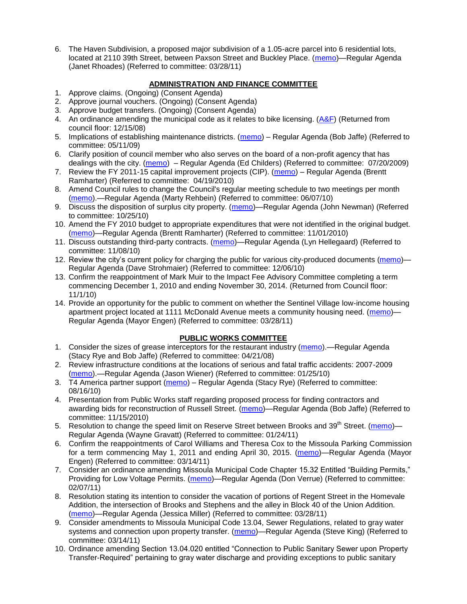6. The Haven Subdivision, a proposed major subdivision of a 1.05-acre parcel into 6 residential lots, located at 2110 39th Street, between Paxson Street and Buckley Place. [\(memo\)](http://www.ci.missoula.mt.us/DocumentView.aspx?DID=5842)—Regular Agenda (Janet Rhoades) (Referred to committee: 03/28/11)

## **ADMINISTRATION AND FINANCE COMMITTEE**

- 1. Approve claims. (Ongoing) (Consent Agenda)
- 2. Approve journal vouchers. (Ongoing) (Consent Agenda)
- 3. Approve budget transfers. (Ongoing) (Consent Agenda)
- 4. An ordinance amending the municipal code as it relates to bike licensing.  $(A\&F)$  (Returned from council floor: 12/15/08)
- 5. Implications of establishing maintenance districts. [\(memo\)](ftp://ftp.ci.missoula.mt.us/Packets/Council/2009/2009-05-11/Referrals/MaintenanceDistricts.pdf) Regular Agenda (Bob Jaffe) (Referred to committee: 05/11/09)
- 6. Clarify position of council member who also serves on the board of a non-profit agency that has dealings with the city. [\(memo\)](http://www.ci.missoula.mt.us/DocumentView.aspx?DID=1840) – Regular Agenda (Ed Childers) (Referred to committee: 07/20/2009)
- 7. Review the FY 2011-15 capital improvement projects (CIP). [\(memo\)](http://www.ci.missoula.mt.us/DocumentView.aspx?DID=3522) Regular Agenda (Brentt Ramharter) (Referred to committee: 04/19/2010)
- 8. Amend Council rules to change the Council's regular meeting schedule to two meetings per month [\(memo\)](http://www.ci.missoula.mt.us/DocumentView.aspx?DID=4027).—Regular Agenda (Marty Rehbein) (Referred to committee: 06/07/10)
- 9. Discuss the disposition of surplus city property. [\(memo\)](http://www.ci.missoula.mt.us/DocumentView.aspx?DID=4862)—Regular Agenda (John Newman) (Referred to committee: 10/25/10)
- 10. Amend the FY 2010 budget to appropriate expenditures that were not identified in the original budget. [\(memo\)](http://www.ci.missoula.mt.us/DocumentView.aspx?DID=4883)—Regular Agenda (Brentt Ramharter) (Referred to committee: 11/01/2010)
- 11. Discuss outstanding third-party contracts. [\(memo\)](http://www.ci.missoula.mt.us/DocumentView.aspx?DID=4956)—Regular Agenda (Lyn Hellegaard) (Referred to committee: 11/08/10)
- 12. Review the city's current policy for charging the public for various city-produced documents [\(memo\)](http://www.ci.missoula.mt.us/DocumentView.aspx?DID=5143) Regular Agenda (Dave Strohmaier) (Referred to committee: 12/06/10)
- 13. Confirm the reappointment of Mark Muir to the Impact Fee Advisory Committee completing a term commencing December 1, 2010 and ending November 30, 2014. (Returned from Council floor: 11/1/10)
- 14. Provide an opportunity for the public to comment on whether the Sentinel Village low-income housing apartment project located at 1111 McDonald Avenue meets a community housing need. [\(memo\)](http://www.ci.missoula.mt.us/DocumentView.aspx?DID=5841)— Regular Agenda (Mayor Engen) (Referred to committee: 03/28/11)

## **PUBLIC WORKS COMMITTEE**

- 1. Consider the sizes of grease interceptors for the restaurant industry [\(memo\)](ftp://ftp.ci.missoula.mt.us/Packets/Council/2008/2008-04-21/Referrals/Industrial_waste_restaurants.pdf).—Regular Agenda (Stacy Rye and Bob Jaffe) (Referred to committee: 04/21/08)
- 2. Review infrastructure conditions at the locations of serious and fatal traffic accidents: 2007-2009 [\(memo\)](http://www.ci.missoula.mt.us/DocumentView.aspx?DID=3031).—Regular Agenda (Jason Wiener) (Referred to committee: 01/25/10)
- 3. T4 America partner support [\(memo\)](http://www.ci.missoula.mt.us/DocumentView.aspx?DID=4452) Regular Agenda (Stacy Rye) (Referred to committee: 08/16/10)
- 4. Presentation from Public Works staff regarding proposed process for finding contractors and awarding bids for reconstruction of Russell Street. [\(memo\)](http://www.ci.missoula.mt.us/DocumentView.aspx?DID=5042)—Regular Agenda (Bob Jaffe) (Referred to committee: 11/15/2010)
- 5. Resolution to change the speed limit on Reserve Street between Brooks and 39<sup>th</sup> Street. [\(memo\)](http://www.ci.missoula.mt.us/DocumentView.aspx?DID=5418)-Regular Agenda (Wayne Gravatt) (Referred to committee: 01/24/11)
- 6. Confirm the reappointments of Carol Williams and Theresa Cox to the Missoula Parking Commission for a term commencing May 1, 2011 and ending April 30, 2015. [\(memo\)](http://www.ci.missoula.mt.us/DocumentView.aspx?DID=5727)—Regular Agenda (Mayor Engen) (Referred to committee: 03/14/11)
- 7. Consider an ordinance amending Missoula Municipal Code Chapter 15.32 Entitled "Building Permits," Providing for Low Voltage Permits. [\(memo\)](http://www.ci.missoula.mt.us/DocumentView.aspx?DID=5548)—Regular Agenda (Don Verrue) (Referred to committee: 02/07/11)
- 8. Resolution stating its intention to consider the vacation of portions of Regent Street in the Homevale Addition, the intersection of Brooks and Stephens and the alley in Block 40 of the Union Addition. [\(memo\)](http://www.ci.missoula.mt.us/DocumentView.aspx?DID=5843)—Regular Agenda (Jessica Miller) (Referred to committee: 03/28/11)
- 9. Consider amendments to Missoula Municipal Code 13.04, Sewer Regulations, related to gray water systems and connection upon property transfer. [\(memo\)](http://www.ci.missoula.mt.us/DocumentView.aspx?DID=5722)—Regular Agenda (Steve King) (Referred to committee: 03/14/11)
- 10. Ordinance amending Section 13.04.020 entitled "Connection to Public Sanitary Sewer upon Property Transfer-Required‖ pertaining to gray water discharge and providing exceptions to public sanitary